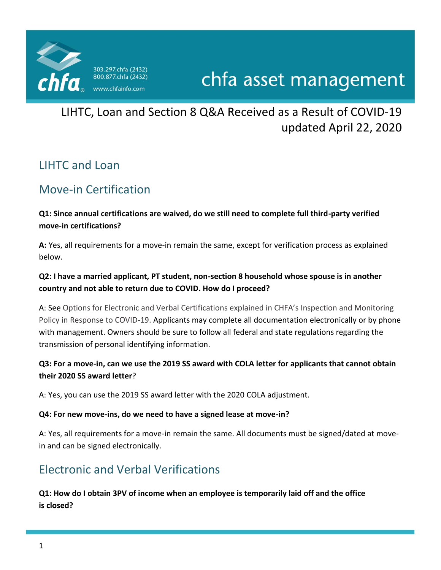

# chfa asset management

LIHTC, Loan and Section 8 Q&A Received as a Result of COVID-19 updated April 22, 2020

## LIHTC and Loan

## Move-in Certification

### **Q1: Since annual certifications are waived, do we still need to complete full third-party verified move-in certifications?**

**A:** Yes, all requirements for a move-in remain the same, except for verification process as explained below.

### **Q2: I have a married applicant, PT student, non-section 8 household whose spouse is in another country and not able to return due to COVID. How do I proceed?**

A: See Options for Electronic and Verbal Certifications explained in CHFA's Inspection and Monitoring Policy in Response to COVID-19. Applicants may complete all documentation electronically or by phone with management. Owners should be sure to follow all federal and state regulations regarding the transmission of personal identifying information.

### **Q3: For a move-in, can we use the 2019 SS award with COLA letter for applicants that cannot obtain their 2020 SS award letter**?

A: Yes, you can use the 2019 SS award letter with the 2020 COLA adjustment.

#### **Q4: For new move-ins, do we need to have a signed lease at move-in?**

A: Yes, all requirements for a move-in remain the same. All documents must be signed/dated at movein and can be signed electronically.

## Electronic and Verbal Verifications

### **Q1: How do I obtain 3PV of income when an employee is temporarily laid off and the office is closed?**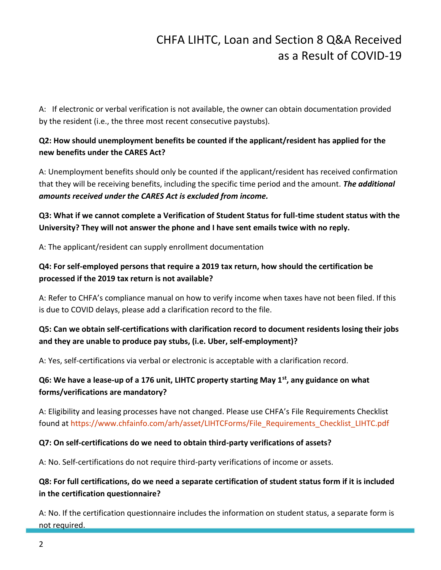A: If electronic or verbal verification is not available, the owner can obtain documentation provided by the resident (i.e., the three most recent consecutive paystubs).

## **Q2: How should unemployment benefits be counted if the applicant/resident has applied for the new benefits under the CARES Act?**

A: Unemployment benefits should only be counted if the applicant/resident has received confirmation that they will be receiving benefits, including the specific time period and the amount. *The additional amounts received under the CARES Act is excluded from income.*

**Q3: What if we cannot complete a Verification of Student Status for full-time student status with the University? They will not answer the phone and I have sent emails twice with no reply.**

A: The applicant/resident can supply enrollment documentation

### **Q4: For self-employed persons that require a 2019 tax return, how should the certification be processed if the 2019 tax return is not available?**

A: Refer to CHFA's compliance manual on how to verify income when taxes have not been filed. If this is due to COVID delays, please add a clarification record to the file.

### **Q5: Can we obtain self-certifications with clarification record to document residents losing their jobs and they are unable to produce pay stubs, (i.e. Uber, self-employment)?**

A: Yes, self-certifications via verbal or electronic is acceptable with a clarification record.

## **Q6: We have a lease-up of a 176 unit, LIHTC property starting May 1st, any guidance on what forms/verifications are mandatory?**

A: Eligibility and leasing processes have not changed. Please use CHFA's File Requirements Checklist found at [https://www.chfainfo.com/arh/asset/LIHTCForms/File\\_Requirements\\_Checklist\\_LIHTC.pdf](https://www.chfainfo.com/arh/asset/LIHTCForms/File_Requirements_Checklist_LIHTC.pdf)

#### **Q7: On self-certifications do we need to obtain third-party verifications of assets?**

A: No. Self-certifications do not require third-party verifications of income or assets.

### **Q8: For full certifications, do we need a separate certification of student status form if it is included in the certification questionnaire?**

A: No. If the certification questionnaire includes the information on student status, a separate form is not required.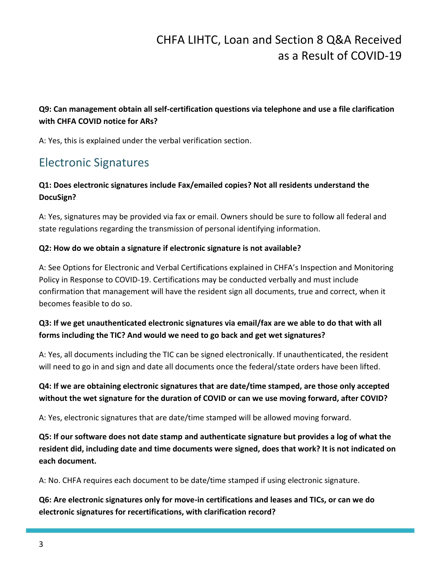### **Q9: Can management obtain all self-certification questions via telephone and use a file clarification with CHFA COVID notice for ARs?**

A: Yes, this is explained under the verbal verification section.

## Electronic Signatures

## **Q1: Does electronic signatures include Fax/emailed copies? Not all residents understand the DocuSign?**

A: Yes, signatures may be provided via fax or email. Owners should be sure to follow all federal and state regulations regarding the transmission of personal identifying information.

### **Q2: How do we obtain a signature if electronic signature is not available?**

A: See Options for Electronic and Verbal Certifications explained in CHFA's Inspection and Monitoring Policy in Response to COVID-19. Certifications may be conducted verbally and must include confirmation that management will have the resident sign all documents, true and correct, when it becomes feasible to do so.

### **Q3: If we get unauthenticated electronic signatures via email/fax are we able to do that with all forms including the TIC? And would we need to go back and get wet signatures?**

A: Yes, all documents including the TIC can be signed electronically. If unauthenticated, the resident will need to go in and sign and date all documents once the federal/state orders have been lifted.

## **Q4: If we are obtaining electronic signatures that are date/time stamped, are those only accepted without the wet signature for the duration of COVID or can we use moving forward, after COVID?**

A: Yes, electronic signatures that are date/time stamped will be allowed moving forward.

**Q5: If our software does not date stamp and authenticate signature but provides a log of what the resident did, including date and time documents were signed, does that work? It is not indicated on each document.**

A: No. CHFA requires each document to be date/time stamped if using electronic signature.

**Q6: Are electronic signatures only for move-in certifications and leases and TICs, or can we do electronic signatures for recertifications, with clarification record?**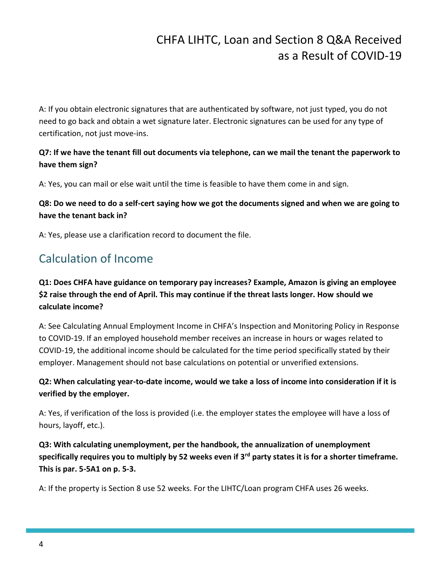A: If you obtain electronic signatures that are authenticated by software, not just typed, you do not need to go back and obtain a wet signature later. Electronic signatures can be used for any type of certification, not just move-ins.

### **Q7: If we have the tenant fill out documents via telephone, can we mail the tenant the paperwork to have them sign?**

A: Yes, you can mail or else wait until the time is feasible to have them come in and sign.

### **Q8: Do we need to do a self-cert saying how we got the documents signed and when we are going to have the tenant back in?**

A: Yes, please use a clarification record to document the file.

## Calculation of Income

## **Q1: Does CHFA have guidance on temporary pay increases? Example, Amazon is giving an employee \$2 raise through the end of April. This may continue if the threat lasts longer. How should we calculate income?**

A: See Calculating Annual Employment Income in CHFA's Inspection and Monitoring Policy in Response to COVID-19. If an employed household member receives an increase in hours or wages related to COVID-19, the additional income should be calculated for the time period specifically stated by their employer. Management should not base calculations on potential or unverified extensions.

### **Q2: When calculating year-to-date income, would we take a loss of income into consideration if it is verified by the employer.**

A: Yes, if verification of the loss is provided (i.e. the employer states the employee will have a loss of hours, layoff, etc.).

**Q3: With calculating unemployment, per the handbook, the annualization of unemployment specifically requires you to multiply by 52 weeks even if 3rd party states it is for a shorter timeframe. This is par. 5-5A1 on p. 5-3.**

A: If the property is Section 8 use 52 weeks. For the LIHTC/Loan program CHFA uses 26 weeks.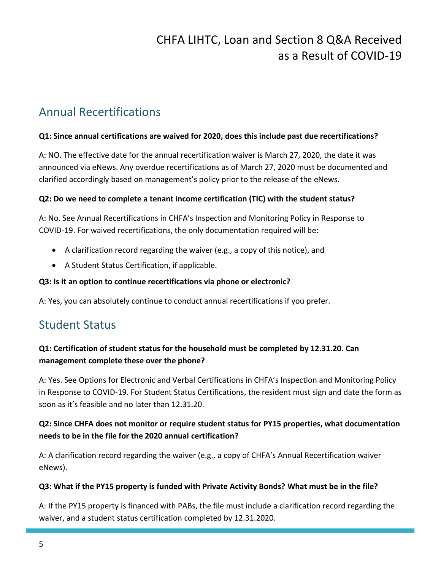## Annual Recertifications

#### **Q1: Since annual certifications are waived for 2020, does this include past due recertifications?**

A: NO. The effective date for the annual recertification waiver is March 27, 2020, the date it was announced via eNews. Any overdue recertifications as of March 27, 2020 must be documented and clarified accordingly based on management's policy prior to the release of the eNews.

#### **Q2: Do we need to complete a tenant income certification (TIC) with the student status?**

A: No. See Annual Recertifications in CHFA's Inspection and Monitoring Policy in Response to COVID-19. For waived recertifications, the only documentation required will be:

- A clarification record regarding the waiver (e.g., a copy of this notice), and
- A Student Status Certification, if applicable.

#### **Q3: Is it an option to continue recertifications via phone or electronic?**

A: Yes, you can absolutely continue to conduct annual recertifications if you prefer.

## Student Status

### **Q1: Certification of student status for the household must be completed by 12.31.20. Can management complete these over the phone?**

A: Yes. See Options for Electronic and Verbal Certifications in CHFA's Inspection and Monitoring Policy in Response to COVID-19. For Student Status Certifications, the resident must sign and date the form as soon as it's feasible and no later than 12.31.20.

### **Q2: Since CHFA does not monitor or require student status for PY15 properties, what documentation needs to be in the file for the 2020 annual certification?**

A: A clarification record regarding the waiver (e.g., a copy of CHFA's Annual Recertification waiver eNews).

#### **Q3: What if the PY15 property is funded with Private Activity Bonds? What must be in the file?**

A: If the PY15 property is financed with PABs, the file must include a clarification record regarding the waiver, and a student status certification completed by 12.31.2020.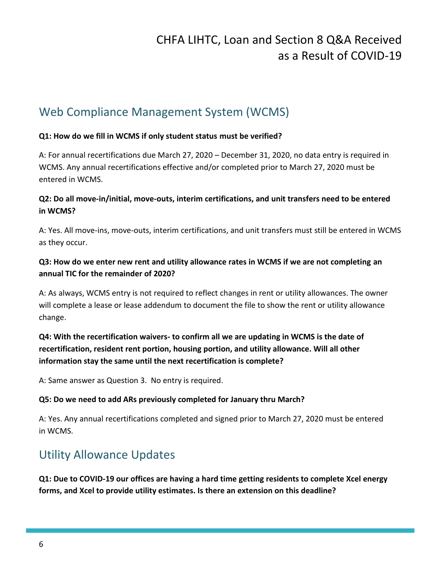## Web Compliance Management System (WCMS)

#### **Q1: How do we fill in WCMS if only student status must be verified?**

A: For annual recertifications due March 27, 2020 – December 31, 2020, no data entry is required in WCMS. Any annual recertifications effective and/or completed prior to March 27, 2020 must be entered in WCMS.

### **Q2: Do all move-in/initial, move-outs, interim certifications, and unit transfers need to be entered in WCMS?**

A: Yes. All move-ins, move-outs, interim certifications, and unit transfers must still be entered in WCMS as they occur.

### **Q3: How do we enter new rent and utility allowance rates in WCMS if we are not completing an annual TIC for the remainder of 2020?**

A: As always, WCMS entry is not required to reflect changes in rent or utility allowances. The owner will complete a lease or lease addendum to document the file to show the rent or utility allowance change.

## **Q4: With the recertification waivers- to confirm all we are updating in WCMS is the date of recertification, resident rent portion, housing portion, and utility allowance. Will all other information stay the same until the next recertification is complete?**

A: Same answer as Question 3. No entry is required.

#### **Q5: Do we need to add ARs previously completed for January thru March?**

A: Yes. Any annual recertifications completed and signed prior to March 27, 2020 must be entered in WCMS.

## Utility Allowance Updates

**Q1: Due to COVID-19 our offices are having a hard time getting residents to complete Xcel energy forms, and Xcel to provide utility estimates. Is there an extension on this deadline?**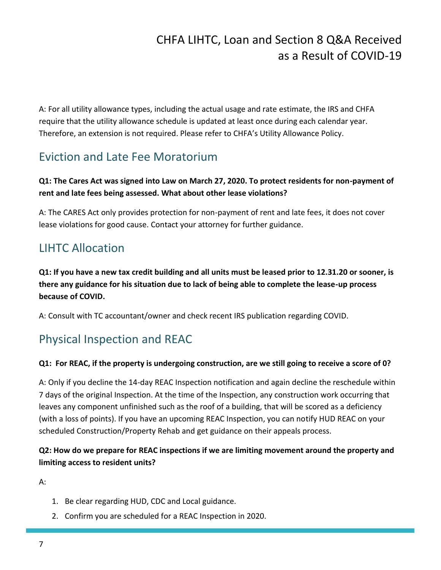A: For all utility allowance types, including the actual usage and rate estimate, the IRS and CHFA require that the utility allowance schedule is updated at least once during each calendar year. Therefore, an extension is not required. Please refer to CHFA's Utility Allowance Policy.

## Eviction and Late Fee Moratorium

### **Q1: The Cares Act was signed into Law on March 27, 2020. To protect residents for non-payment of rent and late fees being assessed. What about other lease violations?**

A: The CARES Act only provides protection for non-payment of rent and late fees, it does not cover lease violations for good cause. Contact your attorney for further guidance.

## LIHTC Allocation

**Q1: If you have a new tax credit building and all units must be leased prior to 12.31.20 or sooner, is there any guidance for his situation due to lack of being able to complete the lease-up process because of COVID.**

A: Consult with TC accountant/owner and check recent IRS publication regarding COVID.

## Physical Inspection and REAC

#### **Q1: For REAC, if the property is undergoing construction, are we still going to receive a score of 0?**

A: Only if you decline the 14-day REAC Inspection notification and again decline the reschedule within 7 days of the original Inspection. At the time of the Inspection, any construction work occurring that leaves any component unfinished such as the roof of a building, that will be scored as a deficiency (with a loss of points). If you have an upcoming REAC Inspection, you can notify HUD REAC on your scheduled Construction/Property Rehab and get guidance on their appeals process.

### **Q2: How do we prepare for REAC inspections if we are limiting movement around the property and limiting access to resident units?**

A:

- 1. Be clear regarding HUD, CDC and Local guidance.
- 2. Confirm you are scheduled for a REAC Inspection in 2020.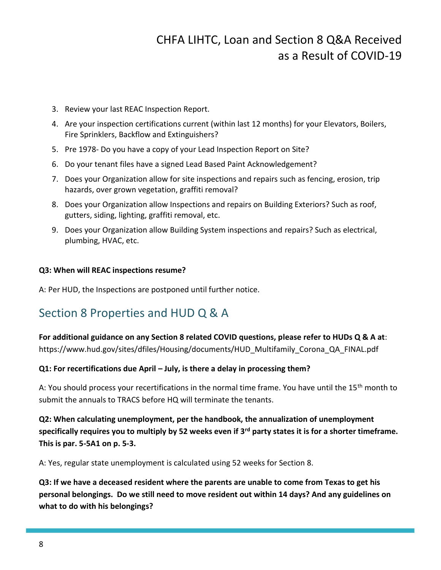- 3. Review your last REAC Inspection Report.
- 4. Are your inspection certifications current (within last 12 months) for your Elevators, Boilers, Fire Sprinklers, Backflow and Extinguishers?
- 5. Pre 1978- Do you have a copy of your Lead Inspection Report on Site?
- 6. Do your tenant files have a signed Lead Based Paint Acknowledgement?
- 7. Does your Organization allow for site inspections and repairs such as fencing, erosion, trip hazards, over grown vegetation, graffiti removal?
- 8. Does your Organization allow Inspections and repairs on Building Exteriors? Such as roof, gutters, siding, lighting, graffiti removal, etc.
- 9. Does your Organization allow Building System inspections and repairs? Such as electrical, plumbing, HVAC, etc.

#### **Q3: When will REAC inspections resume?**

A: Per HUD, the Inspections are postponed until further notice.

## Section 8 Properties and HUD Q & A

**For additional guidance on any Section 8 related COVID questions, please refer to HUDs Q & A at**: [https://www.hud.gov/sites/dfiles/Housing/documents/HUD\\_Multifamily\\_Corona\\_QA\\_FINAL.pdf](https://www.hud.gov/sites/dfiles/Housing/documents/HUD_Multifamily_Corona_QA_FINAL.pdf)

#### **Q1: For recertifications due April – July, is there a delay in processing them?**

A: You should process your recertifications in the normal time frame. You have until the 15<sup>th</sup> month to submit the annuals to TRACS before HQ will terminate the tenants.

**Q2: When calculating unemployment, per the handbook, the annualization of unemployment specifically requires you to multiply by 52 weeks even if 3rd party states it is for a shorter timeframe. This is par. 5-5A1 on p. 5-3.**

A: Yes, regular state unemployment is calculated using 52 weeks for Section 8.

**Q3: If we have a deceased resident where the parents are unable to come from Texas to get his personal belongings. Do we still need to move resident out within 14 days? And any guidelines on what to do with his belongings?**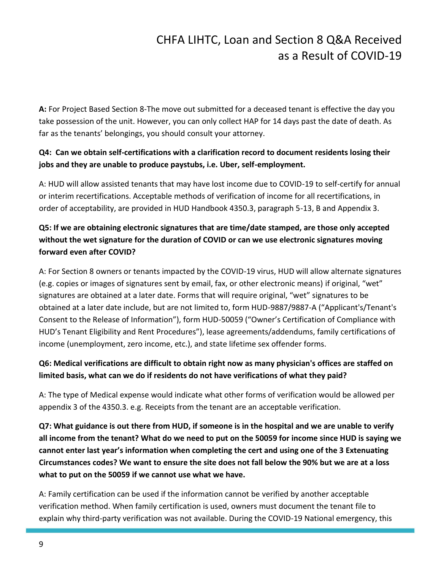**A:** For Project Based Section 8-The move out submitted for a deceased tenant is effective the day you take possession of the unit. However, you can only collect HAP for 14 days past the date of death. As far as the tenants' belongings, you should consult your attorney.

### **Q4: Can we obtain self-certifications with a clarification record to document residents losing their jobs and they are unable to produce paystubs, i.e. Uber, self-employment.**

A: HUD will allow assisted tenants that may have lost income due to COVID-19 to self-certify for annual or interim recertifications. Acceptable methods of verification of income for all recertifications, in order of acceptability, are provided in HUD Handbook 4350.3, paragraph 5-13, B and Appendix 3.

## **Q5: If we are obtaining electronic signatures that are time/date stamped, are those only accepted without the wet signature for the duration of COVID or can we use electronic signatures moving forward even after COVID?**

A: For Section 8 owners or tenants impacted by the COVID-19 virus, HUD will allow alternate signatures (e.g. copies or images of signatures sent by email, fax, or other electronic means) if original, "wet" signatures are obtained at a later date. Forms that will require original, "wet" signatures to be obtained at a later date include, but are not limited to, form HUD-9887/9887-A ("Applicant's/Tenant's Consent to the Release of Information"), form HUD-50059 ("Owner's Certification of Compliance with HUD's Tenant Eligibility and Rent Procedures"), lease agreements/addendums, family certifications of income (unemployment, zero income, etc.), and state lifetime sex offender forms.

### **Q6: Medical verifications are difficult to obtain right now as many physician's offices are staffed on limited basis, what can we do if residents do not have verifications of what they paid?**

A: The type of Medical expense would indicate what other forms of verification would be allowed per appendix 3 of the 4350.3. e.g. Receipts from the tenant are an acceptable verification.

**Q7: What guidance is out there from HUD, if someone is in the hospital and we are unable to verify all income from the tenant? What do we need to put on the 50059 for income since HUD is saying we cannot enter last year's information when completing the cert and using one of the 3 Extenuating Circumstances codes? We want to ensure the site does not fall below the 90% but we are at a loss what to put on the 50059 if we cannot use what we have.**

A: Family certification can be used if the information cannot be verified by another acceptable verification method. When family certification is used, owners must document the tenant file to explain why third-party verification was not available. During the COVID-19 National emergency, this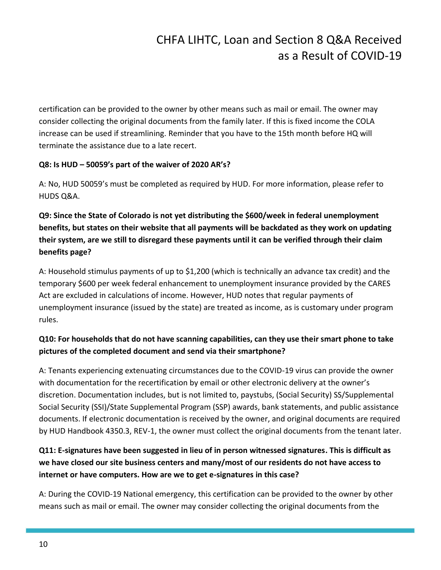certification can be provided to the owner by other means such as mail or email. The owner may consider collecting the original documents from the family later. If this is fixed income the COLA increase can be used if streamlining. Reminder that you have to the 15th month before HQ will terminate the assistance due to a late recert.

#### **Q8: Is HUD – 50059's part of the waiver of 2020 AR's?**

A: No, HUD 50059's must be completed as required by HUD. For more information, please refer to HUDS Q&A.

## **Q9: Since the State of Colorado is not yet distributing the \$600/week in federal unemployment benefits, but states on their website that all payments will be backdated as they work on updating their system, are we still to disregard these payments until it can be verified through their claim benefits page?**

A: Household stimulus payments of up to \$1,200 (which is technically an advance tax credit) and the temporary \$600 per week federal enhancement to unemployment insurance provided by the CARES Act are excluded in calculations of income. However, HUD notes that regular payments of unemployment insurance (issued by the state) are treated as income, as is customary under program rules.

### **Q10: For households that do not have scanning capabilities, can they use their smart phone to take pictures of the completed document and send via their smartphone?**

A: Tenants experiencing extenuating circumstances due to the COVID-19 virus can provide the owner with documentation for the recertification by email or other electronic delivery at the owner's discretion. Documentation includes, but is not limited to, paystubs, (Social Security) SS/Supplemental Social Security (SSI)/State Supplemental Program (SSP) awards, bank statements, and public assistance documents. If electronic documentation is received by the owner, and original documents are required by HUD Handbook 4350.3, REV-1, the owner must collect the original documents from the tenant later.

## **Q11: E-signatures have been suggested in lieu of in person witnessed signatures. This is difficult as we have closed our site business centers and many/most of our residents do not have access to internet or have computers. How are we to get e-signatures in this case?**

A: During the COVID-19 National emergency, this certification can be provided to the owner by other means such as mail or email. The owner may consider collecting the original documents from the